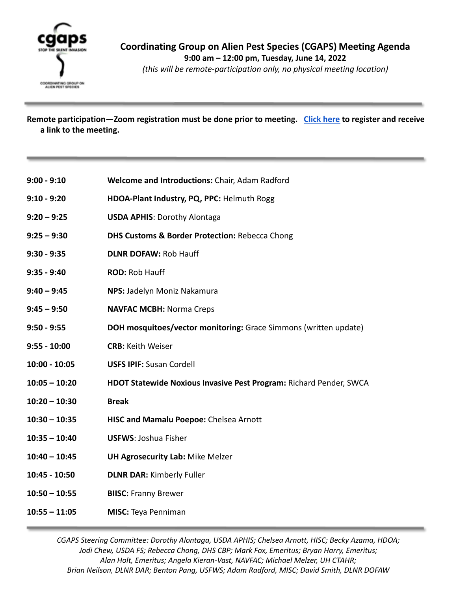

*(this will be remote-participation only, no physical meeting location)*

**Remote participation—Zoom registration must be done prior to meeting. [Click here](https://hawaii.zoom.us/meeting/register/tJApdOmqrT4jGtZgpYeC0bvqgbeHgpTb6Bom) to register and receive a link to the meeting.**

- **9:00 9:10 Welcome and Introductions:** Chair, Adam Radford
- **9:10 9:20 HDOA-Plant Industry, PQ, PPC:** Helmuth Rogg
- **9:20 9:25 USDA APHIS**: Dorothy Alontaga
- **9:25 9:30 DHS Customs & Border Protection:** Rebecca Chong
- **9:30 9:35 DLNR DOFAW:** Rob Hauff
- **9:35 9:40 ROD:** Rob Hauff
- **9:40 9:45 NPS:** Jadelyn Moniz Nakamura
- **9:45 9:50 NAVFAC MCBH:** Norma Creps
- **9:50 9:55 DOH mosquitoes/vector monitoring:** Grace Simmons (written update)
- **9:55 10:00 CRB:** Keith Weiser
- **10:00 10:05 USFS IPIF:** Susan Cordell
- **10:05 10:20 HDOT Statewide Noxious Invasive Pest Program:** Richard Pender, SWCA
- **10:20 10:30 Break**
- **10:30 10:35 HISC and Mamalu Poepoe:** Chelsea Arnott
- **10:35 10:40 USFWS**: Joshua Fisher
- **10:40 10:45 UH Agrosecurity Lab:** Mike Melzer
- **10:45 10:50 DLNR DAR:** Kimberly Fuller
- **10:50 10:55 BIISC:** Franny Brewer
- **10:55 11:05 MISC:** Teya Penniman

*CGAPS Steering Committee: Dorothy Alontaga, USDA APHIS; Chelsea Arnott, HISC; Becky Azama, HDOA; Jodi Chew, USDA FS; Rebecca Chong, DHS CBP; Mark Fox, Emeritus; Bryan Harry, Emeritus; Alan Holt, Emeritus; Angela Kieran-Vast, NAVFAC; Michael Melzer, UH CTAHR; Brian Neilson, DLNR DAR; Benton Pang, USFWS; Adam Radford, MISC; David Smith, DLNR DOFAW*